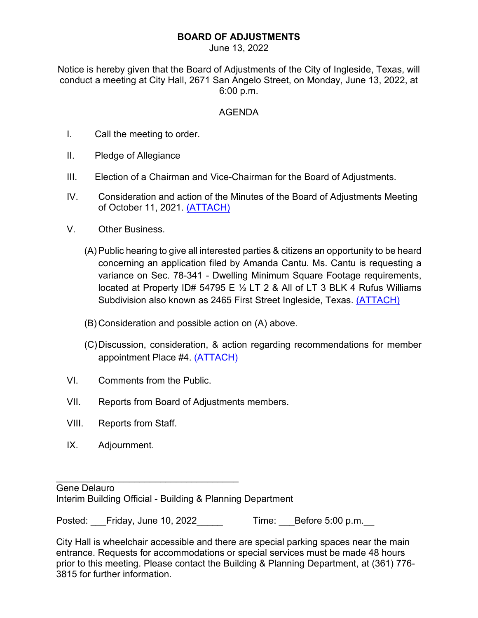## **BOARD OF ADJUSTMENTS**

June 13, 2022

Notice is hereby given that the Board of Adjustments of the City of Ingleside, Texas, will conduct a meeting at City Hall, 2671 San Angelo Street, on Monday, June 13, 2022, at 6:00 p.m.

## AGENDA

- I. Call the meeting to order.
- II. Pledge of Allegiance
- III. Election of a Chairman and Vice-Chairman for the Board of Adjustments.
- IV. Consideration and action of the Minutes of the Board of Adjustments Meeting of October 11, 2021. [\(ATTACH\)](https://www.inglesidetx.gov/DocumentCenter/View/1524/IV-PDF)
- V. Other Business.
	- (A) Public hearing to give all interested parties & citizens an opportunity to be heard concerning an application filed by Amanda Cantu. Ms. Cantu is requesting a variance on Sec. 78-341 - Dwelling Minimum Square Footage requirements, located at Property ID# 54795 E  $\frac{1}{2}$  LT 2 & All of LT 3 BLK 4 Rufus Williams Subdivision also known as 2465 First Street Ingleside, Texas. [\(ATTACH\)](https://www.inglesidetx.gov/DocumentCenter/View/1525/VA-PDF)
	- (B) Consideration and possible action on (A) above.
	- (C)Discussion, consideration, & action regarding recommendations for member appointment Place #4. [\(ATTACH\)](https://www.inglesidetx.gov/DocumentCenter/View/1526/VC-PDF)
- VI. Comments from the Public.

\_\_\_\_\_\_\_\_\_\_\_\_\_\_\_\_\_\_\_\_\_\_\_\_\_\_\_\_\_\_\_\_\_\_\_

- VII. Reports from Board of Adjustments members.
- VIII. Reports from Staff.
- IX. Adjournment.

Gene Delauro Interim Building Official - Building & Planning Department

Posted: Friday, June 10, 2022 Time: Before 5:00 p.m.

City Hall is wheelchair accessible and there are special parking spaces near the main entrance. Requests for accommodations or special services must be made 48 hours prior to this meeting. Please contact the Building & Planning Department, at (361) 776- 3815 for further information.